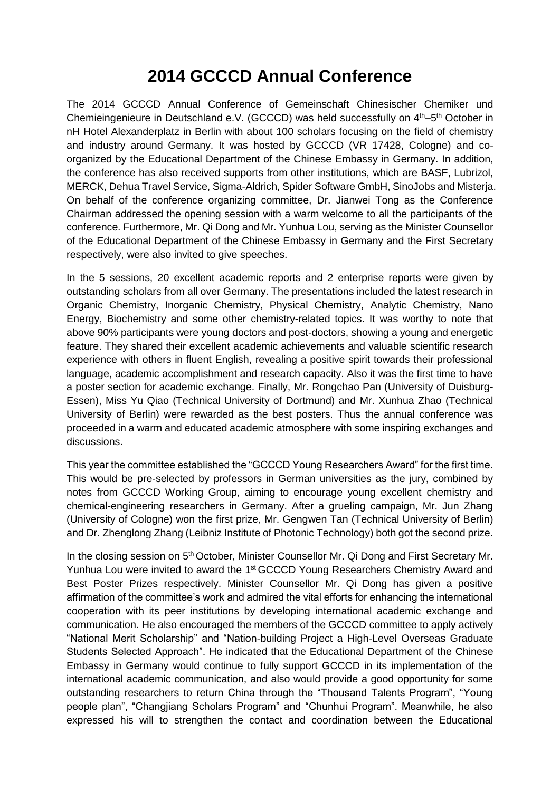## **2014 GCCCD Annual Conference**

The 2014 GCCCD Annual Conference of Gemeinschaft Chinesischer Chemiker und Chemieingenieure in Deutschland e.V. (GCCCD) was held successfully on 4<sup>th</sup>-5<sup>th</sup> October in nH Hotel Alexanderplatz in Berlin with about 100 scholars focusing on the field of chemistry and industry around Germany. It was hosted by GCCCD (VR 17428, Cologne) and coorganized by the Educational Department of the Chinese Embassy in Germany. In addition, the conference has also received supports from other institutions, which are BASF, Lubrizol, MERCK, Dehua Travel Service, Sigma-Aldrich, Spider Software GmbH, SinoJobs and Misterja. On behalf of the conference organizing committee, Dr. Jianwei Tong as the Conference Chairman addressed the opening session with a warm welcome to all the participants of the conference. Furthermore, Mr. Qi Dong and Mr. Yunhua Lou, serving as the Minister Counsellor of the Educational Department of the Chinese Embassy in Germany and the First Secretary respectively, were also invited to give speeches.

In the 5 sessions, 20 excellent academic reports and 2 enterprise reports were given by outstanding scholars from all over Germany. The presentations included the latest research in Organic Chemistry, Inorganic Chemistry, Physical Chemistry, Analytic Chemistry, Nano Energy, Biochemistry and some other chemistry-related topics. It was worthy to note that above 90% participants were young doctors and post-doctors, showing a young and energetic feature. They shared their excellent [academic](file:///C:/Users/WILL%20TONG/Documents/GCCCD/Program%20FilesYoudaoDict6.1.51.3321resultuiframejavascript:void(0);) [achievements](file:///C:/Users/WILL%20TONG/Documents/GCCCD/Program%20FilesYoudaoDict6.1.51.3321resultuiframejavascript:void(0);) and valuable scientific research experience with others in fluent English, revealing a positive spirit towards their professional language, academic accomplishment and research capacity. Also it was the first time to have a poster section for academic exchange. Finally, Mr. Rongchao Pan (University of Duisburg-Essen), Miss Yu Qiao (Technical University of Dortmund) and Mr. Xunhua Zhao (Technical University of Berlin) were rewarded as the best posters. Thus the annual conference was proceeded in a warm and educated academic atmosphere with some inspiring exchanges and discussions.

This year the committee established the "GCCCD Young Researchers Award" for the first time. This would be pre-selected by professors in German universities as the jury, combined by notes from GCCCD Working Group, aiming to encourage young excellent chemistry and chemical-engineering researchers in Germany. After a grueling campaign, Mr. Jun Zhang (University of Cologne) won the first prize, Mr. Gengwen Tan (Technical University of Berlin) and Dr. Zhenglong Zhang (Leibniz Institute of Photonic Technology) both got the second prize.

In the closing session on  $5<sup>th</sup>$  October, Minister Counsellor Mr. Qi Dong and First Secretary Mr. Yunhua Lou were invited to award the 1<sup>st</sup> GCCCD Young Researchers Chemistry Award and Best Poster Prizes respectively. Minister Counsellor Mr. Qi Dong has given a positive affirmation of the committee's work and admired the vital efforts for enhancing the international cooperation with its peer institutions by developing international academic exchange and communication. He also encouraged the members of the GCCCD committee to apply actively "National Merit Scholarship" and "Nation-building Project a High-Level Overseas Graduate Students Selected Approach". He indicated that the Educational Department of the Chinese Embassy in Germany would continue to fully support GCCCD in its implementation of the international academic communication, and also would provide a good opportunity for some outstanding researchers to return China through the "Thousand Talents Program", "Young people plan", "Changjiang Scholars Program" and "Chunhui Program". Meanwhile, he also expressed his will to strengthen the contact and coordination between the Educational